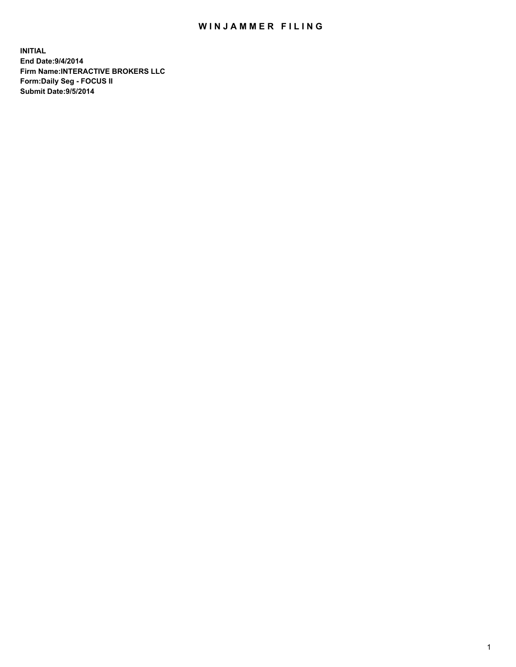## WIN JAMMER FILING

**INITIAL End Date:9/4/2014 Firm Name:INTERACTIVE BROKERS LLC Form:Daily Seg - FOCUS II Submit Date:9/5/2014**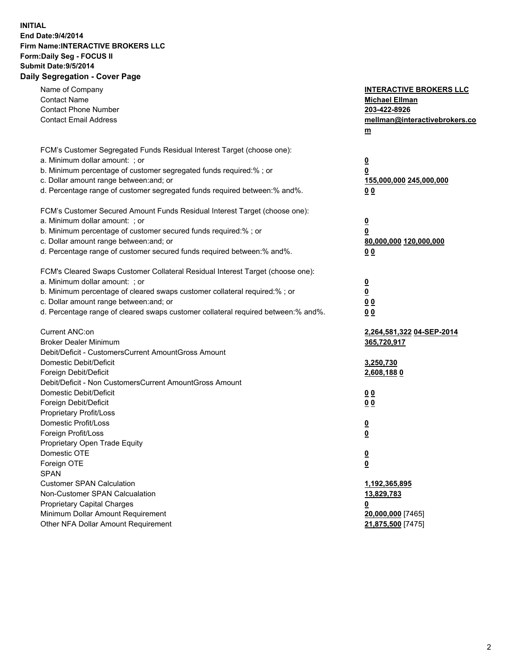## **INITIAL End Date:9/4/2014 Firm Name:INTERACTIVE BROKERS LLC Form:Daily Seg - FOCUS II Submit Date:9/5/2014 Daily Segregation - Cover Page**

| Name of Company<br><b>Contact Name</b><br><b>Contact Phone Number</b><br><b>Contact Email Address</b>         | <b>INTERACTIVE BROKERS LLC</b><br><b>Michael Ellman</b><br>203-422-8926<br>mellman@interactivebrokers.co<br>$\underline{\mathbf{m}}$ |
|---------------------------------------------------------------------------------------------------------------|--------------------------------------------------------------------------------------------------------------------------------------|
| FCM's Customer Segregated Funds Residual Interest Target (choose one):                                        |                                                                                                                                      |
| a. Minimum dollar amount: ; or                                                                                | $\overline{\mathbf{0}}$                                                                                                              |
| b. Minimum percentage of customer segregated funds required:% ; or<br>c. Dollar amount range between: and; or | 0                                                                                                                                    |
| d. Percentage range of customer segregated funds required between:% and%.                                     | 155,000,000 245,000,000<br>00                                                                                                        |
|                                                                                                               |                                                                                                                                      |
| FCM's Customer Secured Amount Funds Residual Interest Target (choose one):                                    |                                                                                                                                      |
| a. Minimum dollar amount: ; or                                                                                | $\overline{\mathbf{0}}$                                                                                                              |
| b. Minimum percentage of customer secured funds required:% ; or                                               | 0                                                                                                                                    |
| c. Dollar amount range between: and; or                                                                       | 80,000,000 120,000,000                                                                                                               |
| d. Percentage range of customer secured funds required between:% and%.                                        | 00                                                                                                                                   |
| FCM's Cleared Swaps Customer Collateral Residual Interest Target (choose one):                                |                                                                                                                                      |
| a. Minimum dollar amount: ; or                                                                                | $\overline{\mathbf{0}}$                                                                                                              |
| b. Minimum percentage of cleared swaps customer collateral required:% ; or                                    | $\overline{\mathbf{0}}$                                                                                                              |
| c. Dollar amount range between: and; or                                                                       | 0 <sub>0</sub>                                                                                                                       |
| d. Percentage range of cleared swaps customer collateral required between:% and%.                             | 0 <sub>0</sub>                                                                                                                       |
| Current ANC:on                                                                                                | 2,264,581,322 04-SEP-2014                                                                                                            |
| <b>Broker Dealer Minimum</b>                                                                                  | 365,720,917                                                                                                                          |
| Debit/Deficit - CustomersCurrent AmountGross Amount                                                           |                                                                                                                                      |
| Domestic Debit/Deficit                                                                                        | 3,250,730                                                                                                                            |
| Foreign Debit/Deficit                                                                                         | 2,608,1880                                                                                                                           |
| Debit/Deficit - Non CustomersCurrent AmountGross Amount                                                       |                                                                                                                                      |
| Domestic Debit/Deficit                                                                                        | 0 <sub>0</sub>                                                                                                                       |
| Foreign Debit/Deficit                                                                                         | 0 <sub>0</sub>                                                                                                                       |
| Proprietary Profit/Loss                                                                                       |                                                                                                                                      |
| Domestic Profit/Loss                                                                                          | $\overline{\mathbf{0}}$                                                                                                              |
| Foreign Profit/Loss                                                                                           | $\underline{\mathbf{0}}$                                                                                                             |
| Proprietary Open Trade Equity                                                                                 |                                                                                                                                      |
| Domestic OTE                                                                                                  | <u>0</u>                                                                                                                             |
| Foreign OTE                                                                                                   | <u>0</u>                                                                                                                             |
| <b>SPAN</b>                                                                                                   |                                                                                                                                      |
| <b>Customer SPAN Calculation</b>                                                                              | 1,192,365,895                                                                                                                        |
| Non-Customer SPAN Calcualation                                                                                | 13,829,783                                                                                                                           |
| Proprietary Capital Charges                                                                                   | <u>0</u>                                                                                                                             |
| Minimum Dollar Amount Requirement                                                                             | 20,000,000 [7465]                                                                                                                    |
| Other NFA Dollar Amount Requirement                                                                           | 21,875,500 [7475]                                                                                                                    |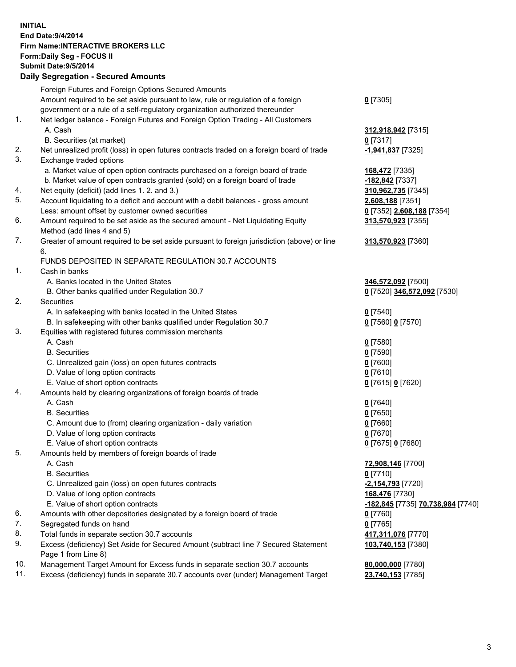## **INITIAL End Date:9/4/2014 Firm Name:INTERACTIVE BROKERS LLC Form:Daily Seg - FOCUS II Submit Date:9/5/2014 Daily Segregation - Secured Amounts**

|     | <u>, pany ovyrvyatron ovodrod Amodrite</u>                                                  |                                          |
|-----|---------------------------------------------------------------------------------------------|------------------------------------------|
|     | Foreign Futures and Foreign Options Secured Amounts                                         |                                          |
|     | Amount required to be set aside pursuant to law, rule or regulation of a foreign            | $0$ [7305]                               |
|     | government or a rule of a self-regulatory organization authorized thereunder                |                                          |
| 1.  | Net ledger balance - Foreign Futures and Foreign Option Trading - All Customers             |                                          |
|     | A. Cash                                                                                     | 312,918,942 [7315]                       |
|     | B. Securities (at market)                                                                   | $0$ [7317]                               |
| 2.  | Net unrealized profit (loss) in open futures contracts traded on a foreign board of trade   | -1,941,837 [7325]                        |
| 3.  | Exchange traded options                                                                     |                                          |
|     | a. Market value of open option contracts purchased on a foreign board of trade              | 168,472 [7335]                           |
|     | b. Market value of open contracts granted (sold) on a foreign board of trade                | -182,842 [7337]                          |
| 4.  | Net equity (deficit) (add lines 1. 2. and 3.)                                               | 310,962,735 [7345]                       |
| 5.  | Account liquidating to a deficit and account with a debit balances - gross amount           | 2,608,188 [7351]                         |
|     | Less: amount offset by customer owned securities                                            | 0 [7352] 2,608,188 [7354]                |
| 6.  | Amount required to be set aside as the secured amount - Net Liquidating Equity              | 313,570,923 [7355]                       |
|     | Method (add lines 4 and 5)                                                                  |                                          |
| 7.  | Greater of amount required to be set aside pursuant to foreign jurisdiction (above) or line | 313,570,923 [7360]                       |
|     | 6.                                                                                          |                                          |
|     | FUNDS DEPOSITED IN SEPARATE REGULATION 30.7 ACCOUNTS                                        |                                          |
| 1.  | Cash in banks                                                                               |                                          |
|     | A. Banks located in the United States                                                       | 346,572,092 [7500]                       |
|     | B. Other banks qualified under Regulation 30.7                                              | 0 [7520] 346,572,092 [7530]              |
| 2.  | <b>Securities</b>                                                                           |                                          |
|     | A. In safekeeping with banks located in the United States                                   | $0$ [7540]                               |
|     | B. In safekeeping with other banks qualified under Regulation 30.7                          | 0 [7560] 0 [7570]                        |
| 3.  | Equities with registered futures commission merchants                                       |                                          |
|     | A. Cash                                                                                     | $0$ [7580]                               |
|     | <b>B.</b> Securities                                                                        | $0$ [7590]                               |
|     | C. Unrealized gain (loss) on open futures contracts                                         | $0$ [7600]                               |
|     | D. Value of long option contracts                                                           | $0$ [7610]                               |
|     | E. Value of short option contracts                                                          | 0 [7615] 0 [7620]                        |
| 4.  | Amounts held by clearing organizations of foreign boards of trade                           |                                          |
|     | A. Cash                                                                                     | $0$ [7640]                               |
|     | <b>B.</b> Securities                                                                        | $0$ [7650]                               |
|     | C. Amount due to (from) clearing organization - daily variation                             | $0$ [7660]                               |
|     | D. Value of long option contracts                                                           | $0$ [7670]                               |
|     | E. Value of short option contracts                                                          | 0 [7675] 0 [7680]                        |
| 5.  | Amounts held by members of foreign boards of trade                                          |                                          |
|     | A. Cash                                                                                     | 72,908,146 [7700]                        |
|     | <b>B.</b> Securities                                                                        | $0$ [7710]                               |
|     | C. Unrealized gain (loss) on open futures contracts                                         | -2,154,793 [7720]                        |
|     | D. Value of long option contracts                                                           | 168,476 [7730]                           |
|     | E. Value of short option contracts                                                          | -182,845 [7735] 70,738,984 [7740]        |
| 6.  | Amounts with other depositories designated by a foreign board of trade                      | $0$ [7760]                               |
| 7.  | Segregated funds on hand                                                                    | $0$ [7765]                               |
| 8.  | Total funds in separate section 30.7 accounts                                               |                                          |
| 9.  | Excess (deficiency) Set Aside for Secured Amount (subtract line 7 Secured Statement         | 417,311,076 [7770]<br>103,740,153 [7380] |
|     | Page 1 from Line 8)                                                                         |                                          |
| 10. | Management Target Amount for Excess funds in separate section 30.7 accounts                 | 80,000,000 [7780]                        |
| 11. | Excess (deficiency) funds in separate 30.7 accounts over (under) Management Target          | 23,740,153 [7785]                        |
|     |                                                                                             |                                          |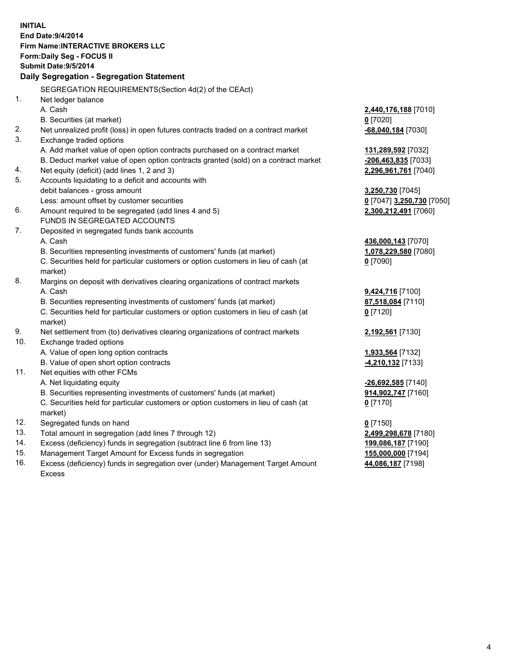**INITIAL End Date:9/4/2014 Firm Name:INTERACTIVE BROKERS LLC Form:Daily Seg - FOCUS II Submit Date:9/5/2014 Daily Segregation - Segregation Statement** SEGREGATION REQUIREMENTS(Section 4d(2) of the CEAct) 1. Net ledger balance A. Cash **2,440,176,188** [7010] B. Securities (at market) **0** [7020] 2. Net unrealized profit (loss) in open futures contracts traded on a contract market **-68,040,184** [7030] 3. Exchange traded options A. Add market value of open option contracts purchased on a contract market **131,289,592** [7032] B. Deduct market value of open option contracts granted (sold) on a contract market **-206,463,835** [7033] 4. Net equity (deficit) (add lines 1, 2 and 3) **2,296,961,761** [7040] 5. Accounts liquidating to a deficit and accounts with debit balances - gross amount **3,250,730** [7045] Less: amount offset by customer securities **0** [7047] **3,250,730** [7050] 6. Amount required to be segregated (add lines 4 and 5) **2,300,212,491** [7060] FUNDS IN SEGREGATED ACCOUNTS 7. Deposited in segregated funds bank accounts A. Cash **436,000,143** [7070] B. Securities representing investments of customers' funds (at market) **1,078,229,580** [7080] C. Securities held for particular customers or option customers in lieu of cash (at market) **0** [7090] 8. Margins on deposit with derivatives clearing organizations of contract markets A. Cash **9,424,716** [7100] B. Securities representing investments of customers' funds (at market) **87,518,084** [7110] C. Securities held for particular customers or option customers in lieu of cash (at market) **0** [7120] 9. Net settlement from (to) derivatives clearing organizations of contract markets **2,192,561** [7130] 10. Exchange traded options A. Value of open long option contracts **1,933,564** [7132] B. Value of open short option contracts **-4,210,132** [7133] 11. Net equities with other FCMs A. Net liquidating equity **-26,692,585** [7140] B. Securities representing investments of customers' funds (at market) **914,902,747** [7160] C. Securities held for particular customers or option customers in lieu of cash (at market) **0** [7170] 12. Segregated funds on hand **0** [7150] 13. Total amount in segregation (add lines 7 through 12) **2,499,298,678** [7180] 14. Excess (deficiency) funds in segregation (subtract line 6 from line 13) **199,086,187** [7190] 15. Management Target Amount for Excess funds in segregation **155,000,000** [7194]

16. Excess (deficiency) funds in segregation over (under) Management Target Amount Excess

**44,086,187** [7198]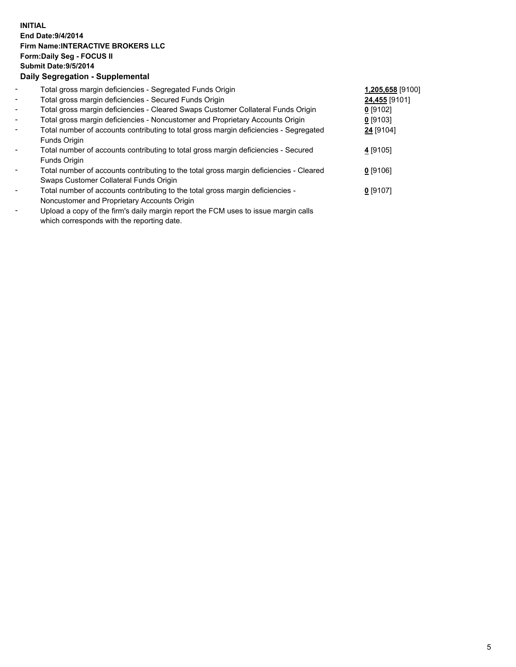## **INITIAL End Date:9/4/2014 Firm Name:INTERACTIVE BROKERS LLC Form:Daily Seg - FOCUS II Submit Date:9/5/2014 Daily Segregation - Supplemental**

| $\overline{\phantom{a}}$ | Total gross margin deficiencies - Segregated Funds Origin                              | 1,205,658 [9100] |  |
|--------------------------|----------------------------------------------------------------------------------------|------------------|--|
| $\sim$                   | Total gross margin deficiencies - Secured Funds Origin                                 | 24,455 [9101]    |  |
| $\blacksquare$           | Total gross margin deficiencies - Cleared Swaps Customer Collateral Funds Origin       | $0$ [9102]       |  |
| $\blacksquare$           | Total gross margin deficiencies - Noncustomer and Proprietary Accounts Origin          | $0$ [9103]       |  |
| $\sim$                   | Total number of accounts contributing to total gross margin deficiencies - Segregated  | 24 [9104]        |  |
|                          | Funds Origin                                                                           |                  |  |
| $\overline{\phantom{a}}$ | Total number of accounts contributing to total gross margin deficiencies - Secured     | 4 [9105]         |  |
|                          | Funds Origin                                                                           |                  |  |
|                          | Total number of accounts contributing to the total gross margin deficiencies - Cleared | $0$ [9106]       |  |
|                          | Swaps Customer Collateral Funds Origin                                                 |                  |  |
| $\overline{\phantom{a}}$ | Total number of accounts contributing to the total gross margin deficiencies -         | $0$ [9107]       |  |
|                          | Noncustomer and Proprietary Accounts Origin                                            |                  |  |
|                          |                                                                                        |                  |  |

- Upload a copy of the firm's daily margin report the FCM uses to issue margin calls which corresponds with the reporting date.